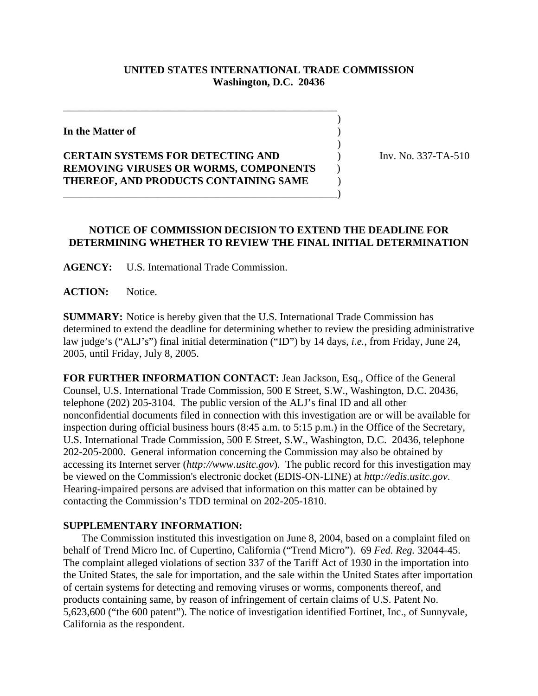## **UNITED STATES INTERNATIONAL TRADE COMMISSION Washington, D.C. 20436**

 $\overline{\phantom{a}}$ 

)

**In the Matter of** )

## **CERTAIN SYSTEMS FOR DETECTING AND** ) Inv. No. 337-TA-510 **REMOVING VIRUSES OR WORMS, COMPONENTS** ) **THEREOF, AND PRODUCTS CONTAINING SAME** ) \_\_\_\_\_\_\_\_\_\_\_\_\_\_\_\_\_\_\_\_\_\_\_\_\_\_\_\_\_\_\_\_\_\_\_\_\_\_\_\_\_\_\_\_\_\_\_\_\_\_\_\_)

\_\_\_\_\_\_\_\_\_\_\_\_\_\_\_\_\_\_\_\_\_\_\_\_\_\_\_\_\_\_\_\_\_\_\_\_\_\_\_\_\_\_\_\_\_\_\_\_\_\_\_\_

## **NOTICE OF COMMISSION DECISION TO EXTEND THE DEADLINE FOR DETERMINING WHETHER TO REVIEW THE FINAL INITIAL DETERMINATION**

**AGENCY:** U.S. International Trade Commission.

**ACTION:** Notice.

**SUMMARY:** Notice is hereby given that the U.S. International Trade Commission has determined to extend the deadline for determining whether to review the presiding administrative law judge's ("ALJ's") final initial determination ("ID") by 14 days, *i.e.*, from Friday, June 24, 2005, until Friday, July 8, 2005.

**FOR FURTHER INFORMATION CONTACT:** Jean Jackson, Esq., Office of the General Counsel, U.S. International Trade Commission, 500 E Street, S.W., Washington, D.C. 20436, telephone (202) 205-3104. The public version of the ALJ's final ID and all other nonconfidential documents filed in connection with this investigation are or will be available for inspection during official business hours (8:45 a.m. to 5:15 p.m.) in the Office of the Secretary, U.S. International Trade Commission, 500 E Street, S.W., Washington, D.C. 20436, telephone 202-205-2000. General information concerning the Commission may also be obtained by accessing its Internet server (*http://www.usitc.gov*). The public record for this investigation may be viewed on the Commission's electronic docket (EDIS-ON-LINE) at *http://edis.usitc.gov*. Hearing-impaired persons are advised that information on this matter can be obtained by contacting the Commission's TDD terminal on 202-205-1810.

## **SUPPLEMENTARY INFORMATION:**

 The Commission instituted this investigation on June 8, 2004, based on a complaint filed on behalf of Trend Micro Inc. of Cupertino, California ("Trend Micro"). 69 *Fed. Reg.* 32044-45. The complaint alleged violations of section 337 of the Tariff Act of 1930 in the importation into the United States, the sale for importation, and the sale within the United States after importation of certain systems for detecting and removing viruses or worms, components thereof, and products containing same, by reason of infringement of certain claims of U.S. Patent No. 5,623,600 ("the 600 patent"). The notice of investigation identified Fortinet, Inc., of Sunnyvale, California as the respondent.